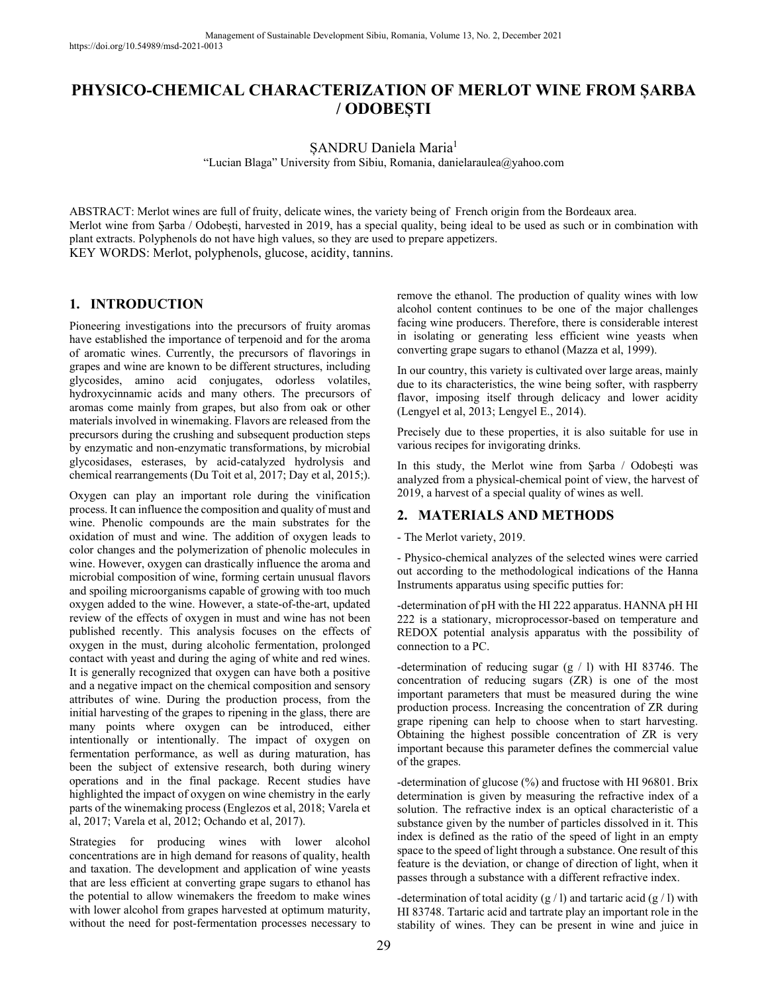# **PHYSICO-CHEMICAL CHARACTERIZATION OF MERLOT WINE FROM ȘARBA / ODOBEȘTI**

SANDRU Daniela Maria<sup>1</sup>

"Lucian Blaga" University from Sibiu, Romania, danielaraulea@yahoo.com

ABSTRACT: Merlot wines are full of fruity, delicate wines, the variety being of French origin from the Bordeaux area. Merlot wine from Șarba / Odobești, harvested in 2019, has a special quality, being ideal to be used as such or in combination with plant extracts. Polyphenols do not have high values, so they are used to prepare appetizers. KEY WORDS: Merlot, polyphenols, glucose, acidity, tannins.

## **1. INTRODUCTION**

Pioneering investigations into the precursors of fruity aromas have established the importance of terpenoid and for the aroma of aromatic wines. Currently, the precursors of flavorings in grapes and wine are known to be different structures, including glycosides, amino acid conjugates, odorless volatiles, hydroxycinnamic acids and many others. The precursors of aromas come mainly from grapes, but also from oak or other materials involved in winemaking. Flavors are released from the precursors during the crushing and subsequent production steps by enzymatic and non-enzymatic transformations, by microbial glycosidases, esterases, by acid-catalyzed hydrolysis and chemical rearrangements (Du Toit et al, 2017; Day et al, 2015;).

Oxygen can play an important role during the vinification process. It can influence the composition and quality of must and wine. Phenolic compounds are the main substrates for the oxidation of must and wine. The addition of oxygen leads to color changes and the polymerization of phenolic molecules in wine. However, oxygen can drastically influence the aroma and microbial composition of wine, forming certain unusual flavors and spoiling microorganisms capable of growing with too much oxygen added to the wine. However, a state-of-the-art, updated review of the effects of oxygen in must and wine has not been published recently. This analysis focuses on the effects of oxygen in the must, during alcoholic fermentation, prolonged contact with yeast and during the aging of white and red wines. It is generally recognized that oxygen can have both a positive and a negative impact on the chemical composition and sensory attributes of wine. During the production process, from the initial harvesting of the grapes to ripening in the glass, there are many points where oxygen can be introduced, either intentionally or intentionally. The impact of oxygen on fermentation performance, as well as during maturation, has been the subject of extensive research, both during winery operations and in the final package. Recent studies have highlighted the impact of oxygen on wine chemistry in the early parts of the winemaking process (Englezos et al, 2018; Varela et al, 2017; Varela et al, 2012; Ochando et al, 2017).

Strategies for producing wines with lower alcohol concentrations are in high demand for reasons of quality, health and taxation. The development and application of wine yeasts that are less efficient at converting grape sugars to ethanol has the potential to allow winemakers the freedom to make wines with lower alcohol from grapes harvested at optimum maturity, without the need for post-fermentation processes necessary to

remove the ethanol. The production of quality wines with low alcohol content continues to be one of the major challenges facing wine producers. Therefore, there is considerable interest in isolating or generating less efficient wine yeasts when converting grape sugars to ethanol (Mazza et al, 1999).

In our country, this variety is cultivated over large areas, mainly due to its characteristics, the wine being softer, with raspberry flavor, imposing itself through delicacy and lower acidity (Lengyel et al, 2013; Lengyel E., 2014).

Precisely due to these properties, it is also suitable for use in various recipes for invigorating drinks.

In this study, the Merlot wine from Șarba / Odobești was analyzed from a physical-chemical point of view, the harvest of 2019, a harvest of a special quality of wines as well.

## **2. MATERIALS AND METHODS**

#### - The Merlot variety, 2019.

- Physico-chemical analyzes of the selected wines were carried out according to the methodological indications of the Hanna Instruments apparatus using specific putties for:

-determination of pH with the HI 222 apparatus. HANNA pH HI 222 is a stationary, microprocessor-based on temperature and REDOX potential analysis apparatus with the possibility of connection to a PC.

-determination of reducing sugar  $(g / l)$  with HI 83746. The concentration of reducing sugars (ZR) is one of the most important parameters that must be measured during the wine production process. Increasing the concentration of ZR during grape ripening can help to choose when to start harvesting. Obtaining the highest possible concentration of ZR is very important because this parameter defines the commercial value of the grapes.

-determination of glucose (%) and fructose with HI 96801. Brix determination is given by measuring the refractive index of a solution. The refractive index is an optical characteristic of a substance given by the number of particles dissolved in it. This index is defined as the ratio of the speed of light in an empty space to the speed of light through a substance. One result of this feature is the deviation, or change of direction of light, when it passes through a substance with a different refractive index.

-determination of total acidity  $(g / l)$  and tartaric acid  $(g / l)$  with HI 83748. Tartaric acid and tartrate play an important role in the stability of wines. They can be present in wine and juice in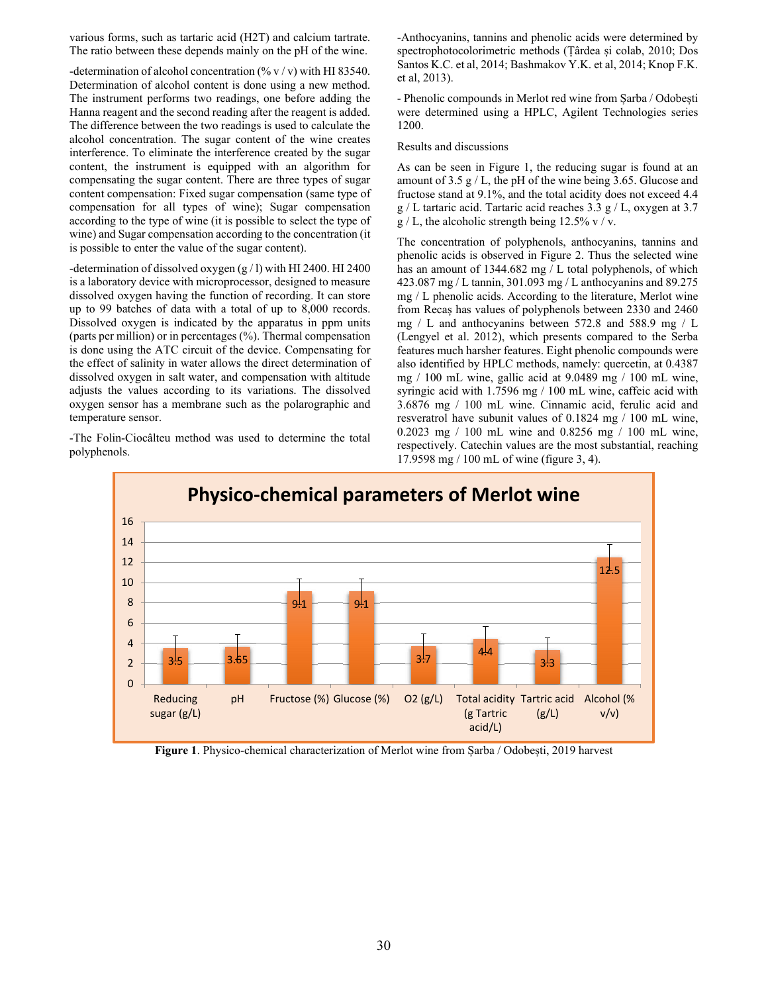various forms, such as tartaric acid (H2T) and calcium tartrate. The ratio between these depends mainly on the pH of the wine.

-determination of alcohol concentration (%  $v / v$ ) with HI 83540. Determination of alcohol content is done using a new method. The instrument performs two readings, one before adding the Hanna reagent and the second reading after the reagent is added. The difference between the two readings is used to calculate the alcohol concentration. The sugar content of the wine creates interference. To eliminate the interference created by the sugar content, the instrument is equipped with an algorithm for compensating the sugar content. There are three types of sugar content compensation: Fixed sugar compensation (same type of compensation for all types of wine); Sugar compensation according to the type of wine (it is possible to select the type of wine) and Sugar compensation according to the concentration (it is possible to enter the value of the sugar content).

-determination of dissolved oxygen (g / l) with HI 2400. HI 2400 is a laboratory device with microprocessor, designed to measure dissolved oxygen having the function of recording. It can store up to 99 batches of data with a total of up to 8,000 records. Dissolved oxygen is indicated by the apparatus in ppm units (parts per million) or in percentages (%). Thermal compensation is done using the ATC circuit of the device. Compensating for the effect of salinity in water allows the direct determination of dissolved oxygen in salt water, and compensation with altitude adjusts the values according to its variations. The dissolved oxygen sensor has a membrane such as the polarographic and temperature sensor.

-The Folin-Ciocâlteu method was used to determine the total polyphenols.

-Anthocyanins, tannins and phenolic acids were determined by spectrophotocolorimetric methods (Țârdea și colab, 2010; Dos Santos K.C. et al, 2014; Bashmakov Y.K. et al, 2014; Knop F.K. et al, 2013).

- Phenolic compounds in Merlot red wine from Șarba / Odobești were determined using a HPLC, Agilent Technologies series 1200.

Results and discussions

As can be seen in Figure 1, the reducing sugar is found at an amount of 3.5  $g/L$ , the pH of the wine being 3.65. Glucose and fructose stand at 9.1%, and the total acidity does not exceed 4.4 g / L tartaric acid. Tartaric acid reaches 3.3 g / L, oxygen at 3.7  $g / L$ , the alcoholic strength being 12.5% v / v.

The concentration of polyphenols, anthocyanins, tannins and phenolic acids is observed in Figure 2. Thus the selected wine has an amount of 1344.682 mg / L total polyphenols, of which 423.087 mg / L tannin, 301.093 mg / L anthocyanins and 89.275 mg / L phenolic acids. According to the literature, Merlot wine from Recaș has values of polyphenols between 2330 and 2460 mg / L and anthocyanins between 572.8 and 588.9 mg / L (Lengyel et al. 2012), which presents compared to the Serba features much harsher features. Eight phenolic compounds were also identified by HPLC methods, namely: quercetin, at 0.4387 mg / 100 mL wine, gallic acid at 9.0489 mg / 100 mL wine, syringic acid with 1.7596 mg / 100 mL wine, caffeic acid with 3.6876 mg / 100 mL wine. Cinnamic acid, ferulic acid and resveratrol have subunit values of 0.1824 mg / 100 mL wine, 0.2023 mg / 100 mL wine and 0.8256 mg / 100 mL wine, respectively. Catechin values are the most substantial, reaching 17.9598 mg / 100 mL of wine (figure 3, 4).



**Figure 1**. Physico-chemical characterization of Merlot wine from Șarba / Odobești, 2019 harvest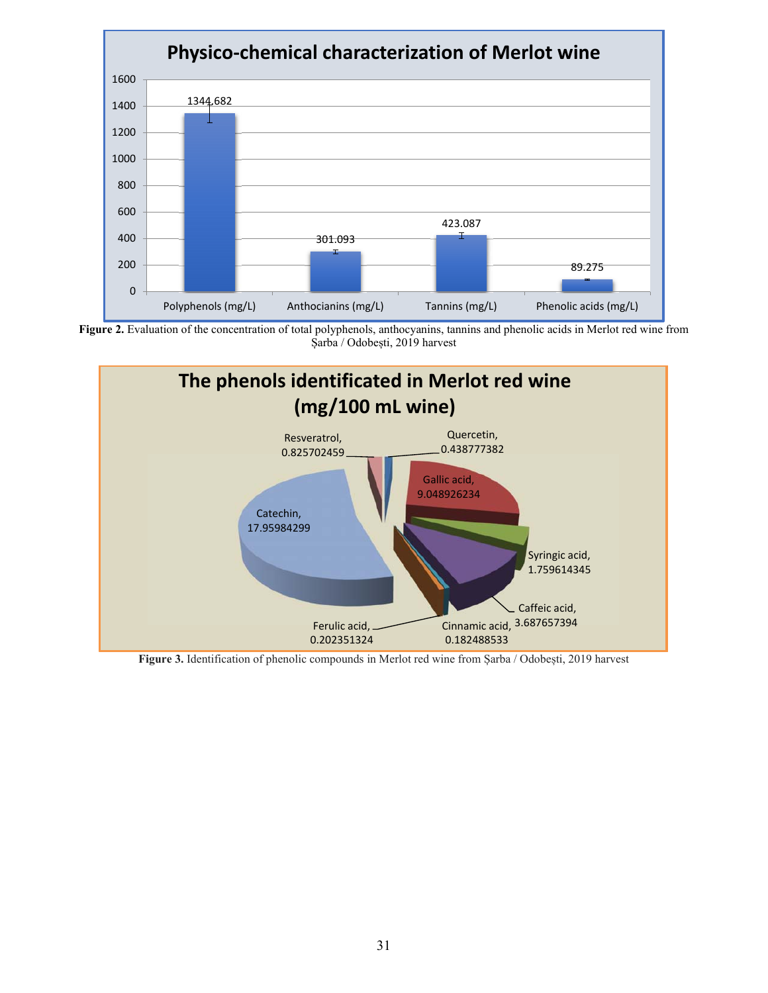





**Figure 3.** Identification of phenolic compounds in Merlot red wine from Șarba / Odobești, 2019 harvest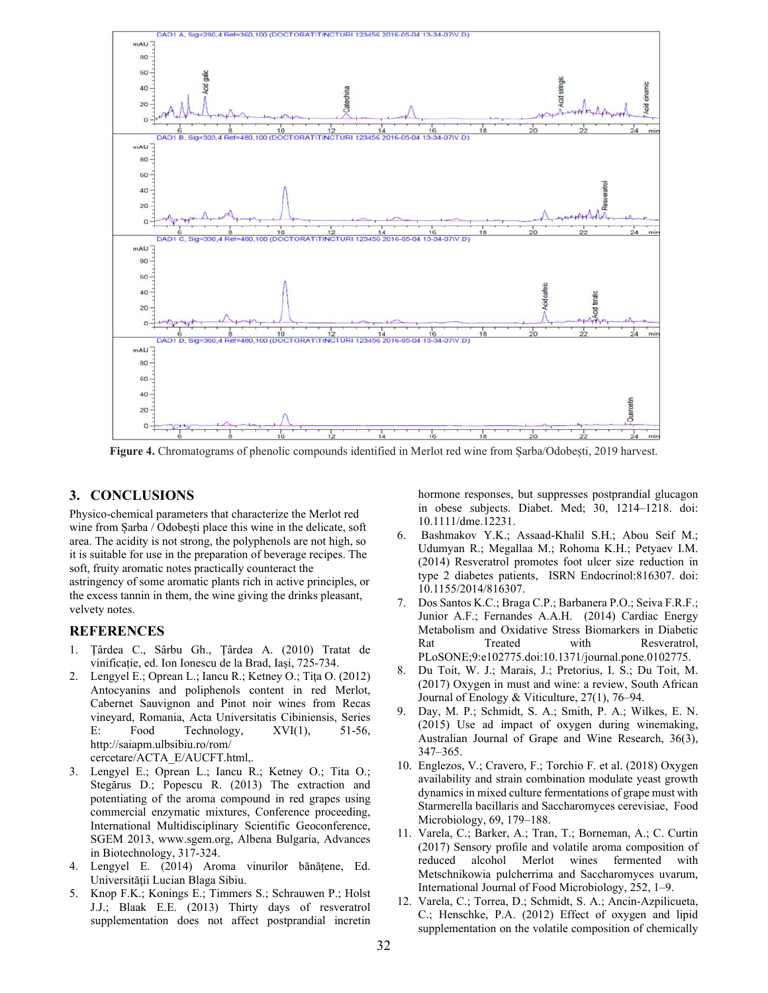

**Figure 4.** Chromatograms of phenolic compounds identified in Merlot red wine from Șarba/Odobești, 2019 harvest.

### **3. CONCLUSIONS**

Physico-chemical parameters that characterize the Merlot red wine from Șarba / Odobești place this wine in the delicate, soft area. The acidity is not strong, the polyphenols are not high, so it is suitable for use in the preparation of beverage recipes. The soft, fruity aromatic notes practically counteract the astringency of some aromatic plants rich in active principles, or the excess tannin in them, the wine giving the drinks pleasant, velvety notes.

#### **REFERENCES**

- 1. Țârdea C., Sârbu Gh., Țârdea A. (2010) Tratat de vinificație, ed. Ion Ionescu de la Brad, Iași, 725-734.
- 2. Lengyel E.; Oprean L.; Iancu R.; Ketney O.; Tiţa O. (2012) Antocyanins and poliphenols content in red Merlot, Cabernet Sauvignon and Pinot noir wines from Recas vineyard, Romania, Acta Universitatis Cibiniensis, Series E: Food Technology, XVI(1), 51-56, http://saiapm.ulbsibiu.ro/rom/ cercetare/ACTA\_E/AUCFT.html,.
- 3. Lengyel E.; Oprean L.; Iancu R.; Ketney O.; Tita O.; Stegărus D.; Popescu R. (2013) The extraction and potentiating of the aroma compound in red grapes using commercial enzymatic mixtures, Conference proceeding, International Multidisciplinary Scientific Geoconference, SGEM 2013, www.sgem.org, Albena Bulgaria, Advances in Biotechnology, 317-324.
- 4. Lengyel E. (2014) Aroma vinurilor bănățene, Ed. Universităţii Lucian Blaga Sibiu.
- 5. Knop F.K.; Konings E.; Timmers S.; Schrauwen P.; Holst J.J.; Blaak E.E. (2013) Thirty days of resveratrol supplementation does not affect postprandial incretin

hormone responses, but suppresses postprandial glucagon in obese subjects. Diabet. Med; 30, 1214–1218. doi: 10.1111/dme.12231.

- 6. Bashmakov Y.K.; Assaad-Khalil S.H.; Abou Seif M.; Udumyan R.; Megallaa M.; Rohoma K.H.; Petyaev I.M. (2014) Resveratrol promotes foot ulcer size reduction in type 2 diabetes patients, ISRN Endocrinol:816307. doi: 10.1155/2014/816307.
- 7. Dos Santos K.C.; Braga C.P.; Barbanera P.O.; Seiva F.R.F.; Junior A.F.; Fernandes A.A.H. (2014) Cardiac Energy Metabolism and Oxidative Stress Biomarkers in Diabetic Rat Treated with Resveratrol, PLoSONE;9:e102775.doi:10.1371/journal.pone.0102775.
- 8. Du Toit, W. J.; Marais, J.; Pretorius, I. S.; Du Toit, M. (2017) Oxygen in must and wine: a review, South African Journal of Enology & Viticulture, 27(1), 76–94.
- 9. Day, M. P.; Schmidt, S. A.; Smith, P. A.; Wilkes, E. N. (2015) Use ad impact of oxygen during winemaking, Australian Journal of Grape and Wine Research, 36(3), 347–365.
- 10. Englezos, V.; Cravero, F.; Torchio F. et al. (2018) Oxygen availability and strain combination modulate yeast growth dynamics in mixed culture fermentations of grape must with Starmerella bacillaris and Saccharomyces cerevisiae, Food Microbiology, 69, 179–188.
- 11. Varela, C.; Barker, A.; Tran, T.; Borneman, A.; C. Curtin (2017) Sensory profile and volatile aroma composition of reduced alcohol Merlot wines fermented with Metschnikowia pulcherrima and Saccharomyces uvarum, International Journal of Food Microbiology, 252, 1–9.
- 12. Varela, C.; Torrea, D.; Schmidt, S. A.; Ancin-Azpilicueta, C.; Henschke, P.A. (2012) Effect of oxygen and lipid supplementation on the volatile composition of chemically